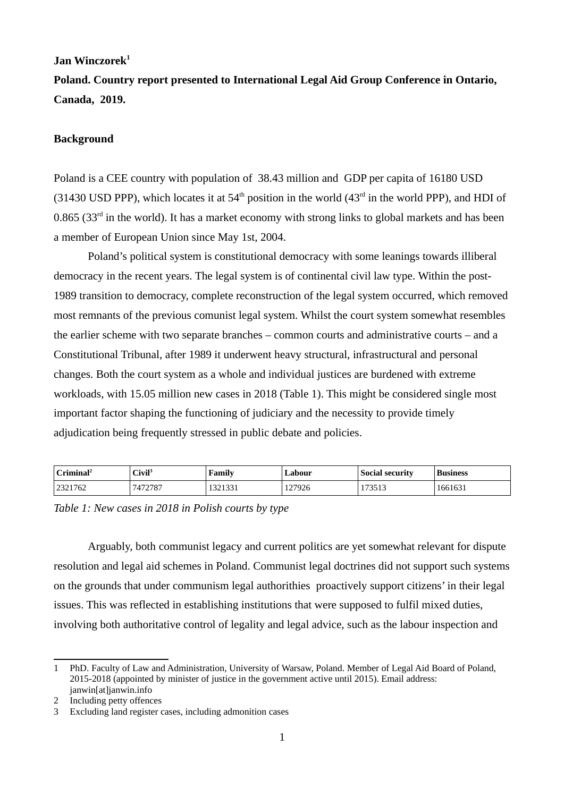# **Jan Winczorek[1](#page-0-0)**

**Poland. Country report presented to International Legal Aid Group Conference in Ontario, Canada, 2019.** 

### **Background**

Poland is a CEE country with population of 38.43 million and GDP per capita of 16180 USD (31430 USD PPP), which locates it at  $54<sup>th</sup>$  position in the world (43<sup>rd</sup> in the world PPP), and HDI of  $0.865$  (33<sup>rd</sup> in the world). It has a market economy with strong links to global markets and has been a member of European Union since May 1st, 2004.

Poland's political system is constitutional democracy with some leanings towards illiberal democracy in the recent years. The legal system is of continental civil law type. Within the post-1989 transition to democracy, complete reconstruction of the legal system occurred, which removed most remnants of the previous comunist legal system. Whilst the court system somewhat resembles the earlier scheme with two separate branches – common courts and administrative courts – and a Constitutional Tribunal, after 1989 it underwent heavy structural, infrastructural and personal changes. Both the court system as a whole and individual justices are burdened with extreme workloads, with 15.05 million new cases in 2018 (Table 1). This might be considered single most important factor shaping the functioning of judiciary and the necessity to provide timely adjudication being frequently stressed in public debate and policies.

| $C$ riminal <sup>2</sup> | Civil <sup>3</sup> | Family             | ∟abour | Social security | <b>Business</b> |
|--------------------------|--------------------|--------------------|--------|-----------------|-----------------|
| 2321762<br>ววว           | 7472787            | 0.23323<br>1041001 | 127926 | 173513          | 1661631         |

*Table 1: New cases in 2018 in Polish courts by type*

Arguably, both communist legacy and current politics are yet somewhat relevant for dispute resolution and legal aid schemes in Poland. Communist legal doctrines did not support such systems on the grounds that under communism legal authorithies proactively support citizens' in their legal issues. This was reflected in establishing institutions that were supposed to fulfil mixed duties, involving both authoritative control of legality and legal advice, such as the labour inspection and

<span id="page-0-0"></span><sup>1</sup> PhD. Faculty of Law and Administration, University of Warsaw, Poland. Member of Legal Aid Board of Poland, 2015-2018 (appointed by minister of justice in the government active until 2015). Email address: janwin[at]janwin.info

<span id="page-0-1"></span><sup>2</sup> Including petty offences

<span id="page-0-2"></span><sup>3</sup> Excluding land register cases, including admonition cases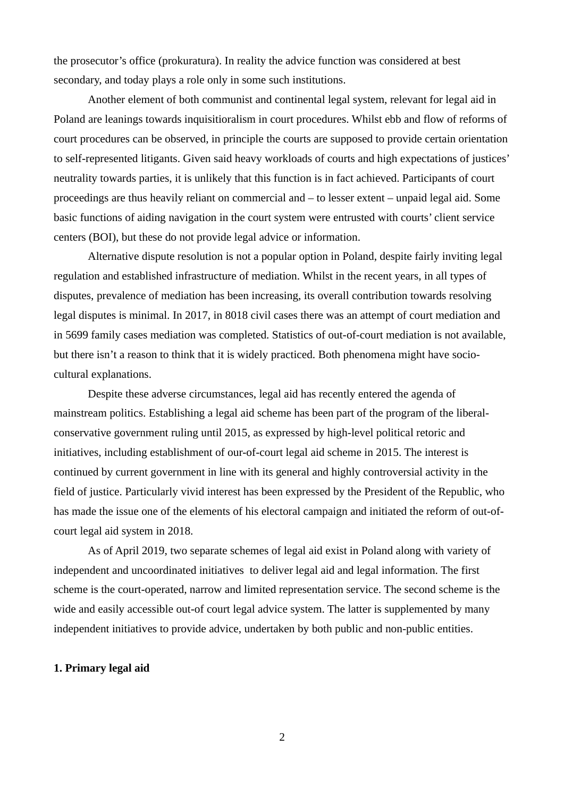the prosecutor's office (prokuratura). In reality the advice function was considered at best secondary, and today plays a role only in some such institutions.

Another element of both communist and continental legal system, relevant for legal aid in Poland are leanings towards inquisitioralism in court procedures. Whilst ebb and flow of reforms of court procedures can be observed, in principle the courts are supposed to provide certain orientation to self-represented litigants. Given said heavy workloads of courts and high expectations of justices' neutrality towards parties, it is unlikely that this function is in fact achieved. Participants of court proceedings are thus heavily reliant on commercial and – to lesser extent – unpaid legal aid. Some basic functions of aiding navigation in the court system were entrusted with courts' client service centers (BOI), but these do not provide legal advice or information.

Alternative dispute resolution is not a popular option in Poland, despite fairly inviting legal regulation and established infrastructure of mediation. Whilst in the recent years, in all types of disputes, prevalence of mediation has been increasing, its overall contribution towards resolving legal disputes is minimal. In 2017, in 8018 civil cases there was an attempt of court mediation and in 5699 family cases mediation was completed. Statistics of out-of-court mediation is not available, but there isn't a reason to think that it is widely practiced. Both phenomena might have sociocultural explanations.

Despite these adverse circumstances, legal aid has recently entered the agenda of mainstream politics. Establishing a legal aid scheme has been part of the program of the liberalconservative government ruling until 2015, as expressed by high-level political retoric and initiatives, including establishment of our-of-court legal aid scheme in 2015. The interest is continued by current government in line with its general and highly controversial activity in the field of justice. Particularly vivid interest has been expressed by the President of the Republic, who has made the issue one of the elements of his electoral campaign and initiated the reform of out-ofcourt legal aid system in 2018.

As of April 2019, two separate schemes of legal aid exist in Poland along with variety of independent and uncoordinated initiatives to deliver legal aid and legal information. The first scheme is the court-operated, narrow and limited representation service. The second scheme is the wide and easily accessible out-of court legal advice system. The latter is supplemented by many independent initiatives to provide advice, undertaken by both public and non-public entities.

# **1. Primary legal aid**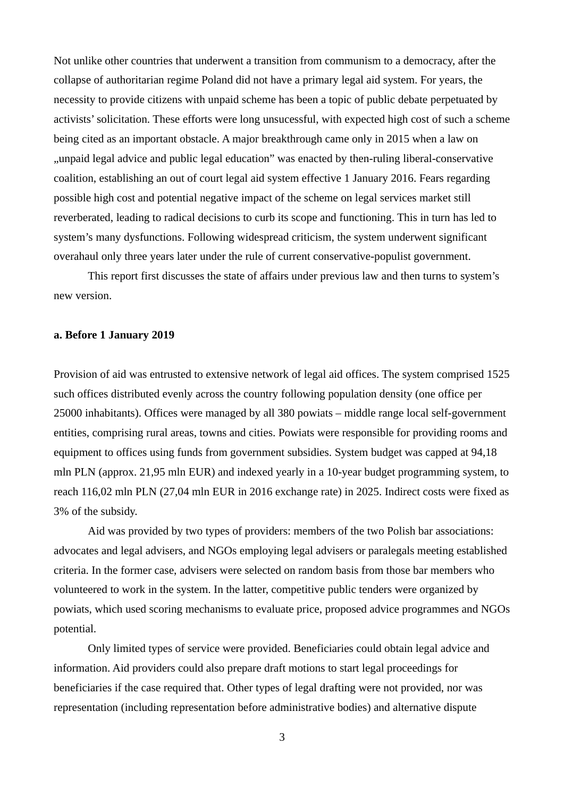Not unlike other countries that underwent a transition from communism to a democracy, after the collapse of authoritarian regime Poland did not have a primary legal aid system. For years, the necessity to provide citizens with unpaid scheme has been a topic of public debate perpetuated by activists' solicitation. These efforts were long unsucessful, with expected high cost of such a scheme being cited as an important obstacle. A major breakthrough came only in 2015 when a law on "unpaid legal advice and public legal education" was enacted by then-ruling liberal-conservative coalition, establishing an out of court legal aid system effective 1 January 2016. Fears regarding possible high cost and potential negative impact of the scheme on legal services market still reverberated, leading to radical decisions to curb its scope and functioning. This in turn has led to system's many dysfunctions. Following widespread criticism, the system underwent significant overahaul only three years later under the rule of current conservative-populist government.

This report first discusses the state of affairs under previous law and then turns to system's new version.

#### **a. Before 1 January 2019**

Provision of aid was entrusted to extensive network of legal aid offices. The system comprised 1525 such offices distributed evenly across the country following population density (one office per 25000 inhabitants). Offices were managed by all 380 powiats – middle range local self-government entities, comprising rural areas, towns and cities. Powiats were responsible for providing rooms and equipment to offices using funds from government subsidies. System budget was capped at 94,18 mln PLN (approx. 21,95 mln EUR) and indexed yearly in a 10-year budget programming system, to reach 116,02 mln PLN (27,04 mln EUR in 2016 exchange rate) in 2025. Indirect costs were fixed as 3% of the subsidy.

Aid was provided by two types of providers: members of the two Polish bar associations: advocates and legal advisers, and NGOs employing legal advisers or paralegals meeting established criteria. In the former case, advisers were selected on random basis from those bar members who volunteered to work in the system. In the latter, competitive public tenders were organized by powiats, which used scoring mechanisms to evaluate price, proposed advice programmes and NGOs potential.

Only limited types of service were provided. Beneficiaries could obtain legal advice and information. Aid providers could also prepare draft motions to start legal proceedings for beneficiaries if the case required that. Other types of legal drafting were not provided, nor was representation (including representation before administrative bodies) and alternative dispute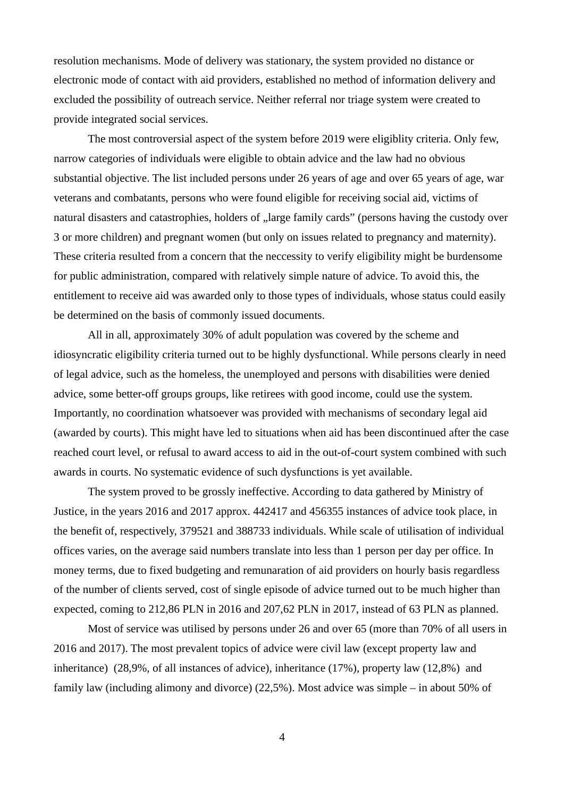resolution mechanisms. Mode of delivery was stationary, the system provided no distance or electronic mode of contact with aid providers, established no method of information delivery and excluded the possibility of outreach service. Neither referral nor triage system were created to provide integrated social services.

The most controversial aspect of the system before 2019 were eligiblity criteria. Only few, narrow categories of individuals were eligible to obtain advice and the law had no obvious substantial objective. The list included persons under 26 years of age and over 65 years of age, war veterans and combatants, persons who were found eligible for receiving social aid, victims of natural disasters and catastrophies, holders of "large family cards" (persons having the custody over 3 or more children) and pregnant women (but only on issues related to pregnancy and maternity). These criteria resulted from a concern that the neccessity to verify eligibility might be burdensome for public administration, compared with relatively simple nature of advice. To avoid this, the entitlement to receive aid was awarded only to those types of individuals, whose status could easily be determined on the basis of commonly issued documents.

All in all, approximately 30% of adult population was covered by the scheme and idiosyncratic eligibility criteria turned out to be highly dysfunctional. While persons clearly in need of legal advice, such as the homeless, the unemployed and persons with disabilities were denied advice, some better-off groups groups, like retirees with good income, could use the system. Importantly, no coordination whatsoever was provided with mechanisms of secondary legal aid (awarded by courts). This might have led to situations when aid has been discontinued after the case reached court level, or refusal to award access to aid in the out-of-court system combined with such awards in courts. No systematic evidence of such dysfunctions is yet available.

The system proved to be grossly ineffective. According to data gathered by Ministry of Justice, in the years 2016 and 2017 approx. 442417 and 456355 instances of advice took place, in the benefit of, respectively, 379521 and 388733 individuals. While scale of utilisation of individual offices varies, on the average said numbers translate into less than 1 person per day per office. In money terms, due to fixed budgeting and remunaration of aid providers on hourly basis regardless of the number of clients served, cost of single episode of advice turned out to be much higher than expected, coming to 212,86 PLN in 2016 and 207,62 PLN in 2017, instead of 63 PLN as planned.

Most of service was utilised by persons under 26 and over 65 (more than 70% of all users in 2016 and 2017). The most prevalent topics of advice were civil law (except property law and inheritance) (28,9%, of all instances of advice), inheritance (17%), property law (12,8%) and family law (including alimony and divorce) (22,5%). Most advice was simple – in about 50% of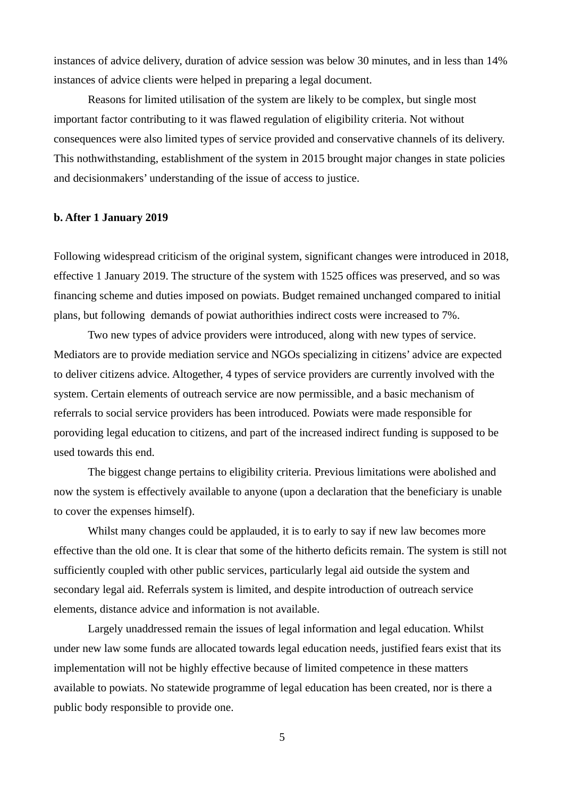instances of advice delivery, duration of advice session was below 30 minutes, and in less than 14% instances of advice clients were helped in preparing a legal document.

Reasons for limited utilisation of the system are likely to be complex, but single most important factor contributing to it was flawed regulation of eligibility criteria. Not without consequences were also limited types of service provided and conservative channels of its delivery. This nothwithstanding, establishment of the system in 2015 brought major changes in state policies and decisionmakers' understanding of the issue of access to justice.

### **b. After 1 January 2019**

Following widespread criticism of the original system, significant changes were introduced in 2018, effective 1 January 2019. The structure of the system with 1525 offices was preserved, and so was financing scheme and duties imposed on powiats. Budget remained unchanged compared to initial plans, but following demands of powiat authorithies indirect costs were increased to 7%.

Two new types of advice providers were introduced, along with new types of service. Mediators are to provide mediation service and NGOs specializing in citizens' advice are expected to deliver citizens advice. Altogether, 4 types of service providers are currently involved with the system. Certain elements of outreach service are now permissible, and a basic mechanism of referrals to social service providers has been introduced. Powiats were made responsible for poroviding legal education to citizens, and part of the increased indirect funding is supposed to be used towards this end.

The biggest change pertains to eligibility criteria. Previous limitations were abolished and now the system is effectively available to anyone (upon a declaration that the beneficiary is unable to cover the expenses himself).

Whilst many changes could be applauded, it is to early to say if new law becomes more effective than the old one. It is clear that some of the hitherto deficits remain. The system is still not sufficiently coupled with other public services, particularly legal aid outside the system and secondary legal aid. Referrals system is limited, and despite introduction of outreach service elements, distance advice and information is not available.

Largely unaddressed remain the issues of legal information and legal education. Whilst under new law some funds are allocated towards legal education needs, justified fears exist that its implementation will not be highly effective because of limited competence in these matters available to powiats. No statewide programme of legal education has been created, nor is there a public body responsible to provide one.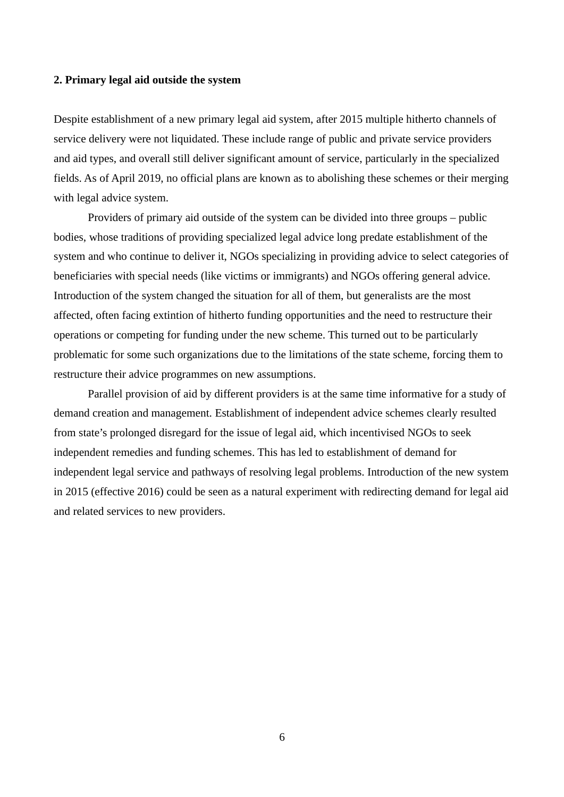#### **2. Primary legal aid outside the system**

Despite establishment of a new primary legal aid system, after 2015 multiple hitherto channels of service delivery were not liquidated. These include range of public and private service providers and aid types, and overall still deliver significant amount of service, particularly in the specialized fields. As of April 2019, no official plans are known as to abolishing these schemes or their merging with legal advice system.

Providers of primary aid outside of the system can be divided into three groups – public bodies, whose traditions of providing specialized legal advice long predate establishment of the system and who continue to deliver it, NGOs specializing in providing advice to select categories of beneficiaries with special needs (like victims or immigrants) and NGOs offering general advice. Introduction of the system changed the situation for all of them, but generalists are the most affected, often facing extintion of hitherto funding opportunities and the need to restructure their operations or competing for funding under the new scheme. This turned out to be particularly problematic for some such organizations due to the limitations of the state scheme, forcing them to restructure their advice programmes on new assumptions.

Parallel provision of aid by different providers is at the same time informative for a study of demand creation and management. Establishment of independent advice schemes clearly resulted from state's prolonged disregard for the issue of legal aid, which incentivised NGOs to seek independent remedies and funding schemes. This has led to establishment of demand for independent legal service and pathways of resolving legal problems. Introduction of the new system in 2015 (effective 2016) could be seen as a natural experiment with redirecting demand for legal aid and related services to new providers.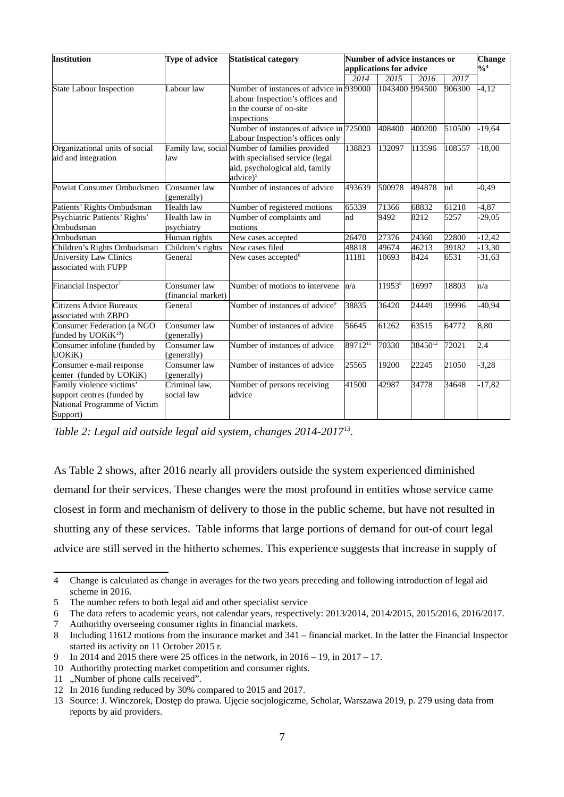| Institution                                                                                        | <b>Type of advice</b>              | <b>Statistical category</b>                                                                                                                 | Number of advice instances or<br>applications for advice |                 |         |        | <b>Change</b><br>$\frac{9}{6}$ <sup>4</sup> |
|----------------------------------------------------------------------------------------------------|------------------------------------|---------------------------------------------------------------------------------------------------------------------------------------------|----------------------------------------------------------|-----------------|---------|--------|---------------------------------------------|
|                                                                                                    |                                    |                                                                                                                                             | 2014                                                     | 2015            | 2016    | 2017   |                                             |
| State Labour Inspection                                                                            | Labour law                         | Number of instances of advice in 939000<br>Labour Inspection's offices and<br>in the course of on-site<br>inspections                       |                                                          | 1043400 994500  |         | 906300 | $-4,12$                                     |
|                                                                                                    |                                    | Number of instances of advice in 725000<br>Labour Inspection's offices only                                                                 |                                                          | 408400          | 400200  | 510500 | $-19,64$                                    |
| Organizational units of social<br>aid and integration                                              | law                                | Family law, social Number of families provided<br>with specialised service (legal<br>aid, psychological aid, family<br>advice) <sup>5</sup> | 138823                                                   | 132097          | 113596  | 108557 | $-18,00$                                    |
| Powiat Consumer Ombudsmen                                                                          | Consumer law<br>(generally)        | Number of instances of advice                                                                                                               | 493639                                                   | 500978          | 494878  | Ind    | $-0,49$                                     |
| Patients' Rights Ombudsman                                                                         | Health law                         | Number of registered motions                                                                                                                | 65339                                                    | 71366           | 68832   | 61218  | $-4,87$                                     |
| Psychiatric Patients' Rights'<br>Ombudsman                                                         | Health law in<br>psychiatry        | Number of complaints and<br>motions                                                                                                         | nd                                                       | 9492            | 8212    | 5257   | $-29,05$                                    |
| Ombudsman                                                                                          | Human rights                       | New cases accepted                                                                                                                          | 26470                                                    | 27376           | 24360   | 22800  | $-12,42$                                    |
| Children's Rights Ombudsman                                                                        | Children's rights                  | New cases filed                                                                                                                             | 48818                                                    | 49674           | 46213   | 39182  | $-13,30$                                    |
| University Law Clinics<br>associated with FUPP                                                     | General                            | New cases accepted <sup>6</sup>                                                                                                             | 11181                                                    | 10693           | 8424    | 6531   | $-31,63$                                    |
| Financial Inspector <sup>7</sup>                                                                   | Consumer law<br>(financial market) | Number of motions to intervene                                                                                                              | n/a                                                      | 119538          | 16997   | 18803  | n/a                                         |
| Citizens Advice Bureaux<br>associated with ZBPO                                                    | General                            | Number of instances of advice <sup>9</sup>                                                                                                  | 38835                                                    | 36420           | 24449   | 19996  | $-40,94$                                    |
| Consumer Federation (a NGO<br>funded by $UOKiK^{10}$                                               | Consumer law<br>(generally)        | Number of instances of advice                                                                                                               | 56645                                                    | $\sqrt{6}$ 1262 | 63515   | 64772  | 8,80                                        |
| Consumer infoline (funded by<br>UOKiK)                                                             | Consumer law<br>(generally)        | Number of instances of advice                                                                                                               | 8971211                                                  | 70330           | 3845012 | 72021  | 2,4                                         |
| Consumer e-mail response<br>center (funded by UOKiK)                                               | Consumer law<br>(generally)        | Number of instances of advice                                                                                                               | 25565                                                    | 19200           | 22245   | 21050  | $-3,28$                                     |
| Family violence victims'<br>support centres (funded by<br>National Programme of Victim<br>Support) | Criminal law,<br>social law        | Number of persons receiving<br>advice                                                                                                       | 41500                                                    | 42987           | 34778   | 34648  | $-17,82$                                    |

*Table 2: Legal aid outside legal aid system, changes 2014-2017[13](#page-6-9) .* 

As Table 2 shows, after 2016 nearly all providers outside the system experienced diminished demand for their services. These changes were the most profound in entities whose service came closest in form and mechanism of delivery to those in the public scheme, but have not resulted in shutting any of these services. Table informs that large portions of demand for out-of court legal advice are still served in the hitherto schemes. This experience suggests that increase in supply of

<span id="page-6-0"></span><sup>4</sup> Change is calculated as change in averages for the two years preceding and following introduction of legal aid scheme in 2016.

<span id="page-6-1"></span><sup>5</sup> The number refers to both legal aid and other specialist service

<span id="page-6-2"></span><sup>6</sup> The data refers to academic years, not calendar years, respectively: 2013/2014, 2014/2015, 2015/2016, 2016/2017.

<span id="page-6-3"></span><sup>7</sup> Authorithy overseeing consumer rights in financial markets.

<span id="page-6-4"></span><sup>8</sup> Including 11612 motions from the insurance market and 341 – financial market. In the latter the Financial Inspector started its activity on 11 October 2015 r.

<span id="page-6-5"></span><sup>9</sup> In 2014 and 2015 there were 25 offices in the network, in 2016 – 19, in 2017 – 17.

<span id="page-6-6"></span><sup>10</sup> Authorithy protecting market competition and consumer rights.

<span id="page-6-7"></span><sup>11 &</sup>quot;Number of phone calls received".

<span id="page-6-8"></span><sup>12</sup> In 2016 funding reduced by 30% compared to 2015 and 2017.

<span id="page-6-9"></span><sup>13</sup> Source: J. Winczorek, Dostęp do prawa. Ujęcie socjologiczme, Scholar, Warszawa 2019, p. 279 using data from reports by aid providers.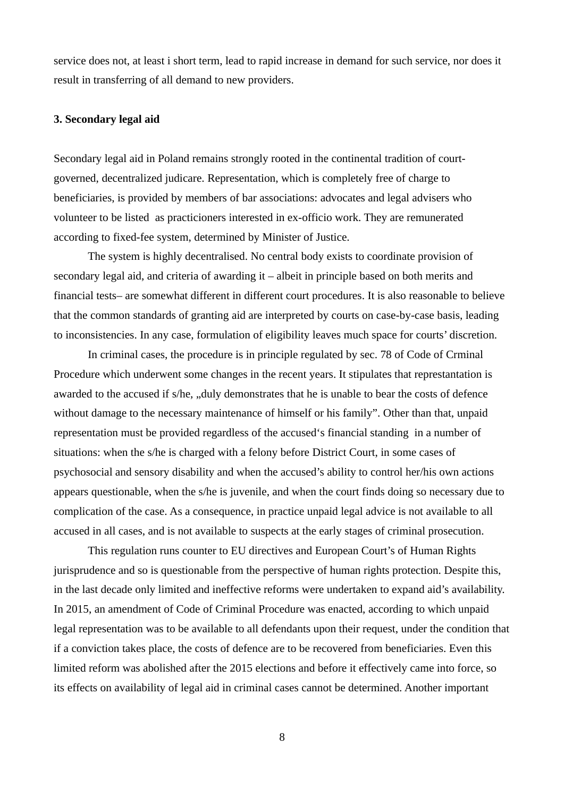service does not, at least i short term, lead to rapid increase in demand for such service, nor does it result in transferring of all demand to new providers.

### **3. Secondary legal aid**

Secondary legal aid in Poland remains strongly rooted in the continental tradition of courtgoverned, decentralized judicare. Representation, which is completely free of charge to beneficiaries, is provided by members of bar associations: advocates and legal advisers who volunteer to be listed as practicioners interested in ex-officio work. They are remunerated according to fixed-fee system, determined by Minister of Justice.

The system is highly decentralised. No central body exists to coordinate provision of secondary legal aid, and criteria of awarding it – albeit in principle based on both merits and financial tests– are somewhat different in different court procedures. It is also reasonable to believe that the common standards of granting aid are interpreted by courts on case-by-case basis, leading to inconsistencies. In any case, formulation of eligibility leaves much space for courts' discretion.

In criminal cases, the procedure is in principle regulated by sec. 78 of Code of Crminal Procedure which underwent some changes in the recent years. It stipulates that represtantation is awarded to the accused if s/he, "duly demonstrates that he is unable to bear the costs of defence without damage to the necessary maintenance of himself or his family". Other than that, unpaid representation must be provided regardless of the accused's financial standing in a number of situations: when the s/he is charged with a felony before District Court, in some cases of psychosocial and sensory disability and when the accused's ability to control her/his own actions appears questionable, when the s/he is juvenile, and when the court finds doing so necessary due to complication of the case. As a consequence, in practice unpaid legal advice is not available to all accused in all cases, and is not available to suspects at the early stages of criminal prosecution.

This regulation runs counter to EU directives and European Court's of Human Rights jurisprudence and so is questionable from the perspective of human rights protection. Despite this, in the last decade only limited and ineffective reforms were undertaken to expand aid's availability. In 2015, an amendment of Code of Criminal Procedure was enacted, according to which unpaid legal representation was to be available to all defendants upon their request, under the condition that if a conviction takes place, the costs of defence are to be recovered from beneficiaries. Even this limited reform was abolished after the 2015 elections and before it effectively came into force, so its effects on availability of legal aid in criminal cases cannot be determined. Another important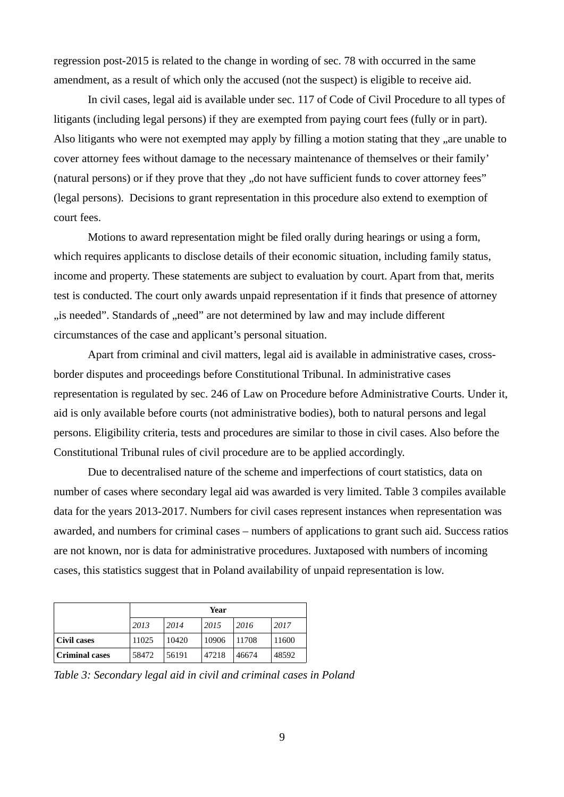regression post-2015 is related to the change in wording of sec. 78 with occurred in the same amendment, as a result of which only the accused (not the suspect) is eligible to receive aid.

In civil cases, legal aid is available under sec. 117 of Code of Civil Procedure to all types of litigants (including legal persons) if they are exempted from paying court fees (fully or in part). Also litigants who were not exempted may apply by filling a motion stating that they "are unable to cover attorney fees without damage to the necessary maintenance of themselves or their family' (natural persons) or if they prove that they ", do not have sufficient funds to cover attorney fees" (legal persons). Decisions to grant representation in this procedure also extend to exemption of court fees.

Motions to award representation might be filed orally during hearings or using a form, which requires applicants to disclose details of their economic situation, including family status, income and property. These statements are subject to evaluation by court. Apart from that, merits test is conducted. The court only awards unpaid representation if it finds that presence of attorney "is needed". Standards of "need" are not determined by law and may include different circumstances of the case and applicant's personal situation.

Apart from criminal and civil matters, legal aid is available in administrative cases, crossborder disputes and proceedings before Constitutional Tribunal. In administrative cases representation is regulated by sec. 246 of Law on Procedure before Administrative Courts. Under it, aid is only available before courts (not administrative bodies), both to natural persons and legal persons. Eligibility criteria, tests and procedures are similar to those in civil cases. Also before the Constitutional Tribunal rules of civil procedure are to be applied accordingly.

Due to decentralised nature of the scheme and imperfections of court statistics, data on number of cases where secondary legal aid was awarded is very limited. Table 3 compiles available data for the years 2013-2017. Numbers for civil cases represent instances when representation was awarded, and numbers for criminal cases – numbers of applications to grant such aid. Success ratios are not known, nor is data for administrative procedures. Juxtaposed with numbers of incoming cases, this statistics suggest that in Poland availability of unpaid representation is low.

|                | Year  |       |       |       |       |  |
|----------------|-------|-------|-------|-------|-------|--|
|                | 2013  | 2014  | 2015  | 2016  | 2017  |  |
| Civil cases    | 11025 | 10420 | 10906 | 11708 | 11600 |  |
| Criminal cases | 58472 | 56191 | 47218 | 46674 | 48592 |  |

*Table 3: Secondary legal aid in civil and criminal cases in Poland*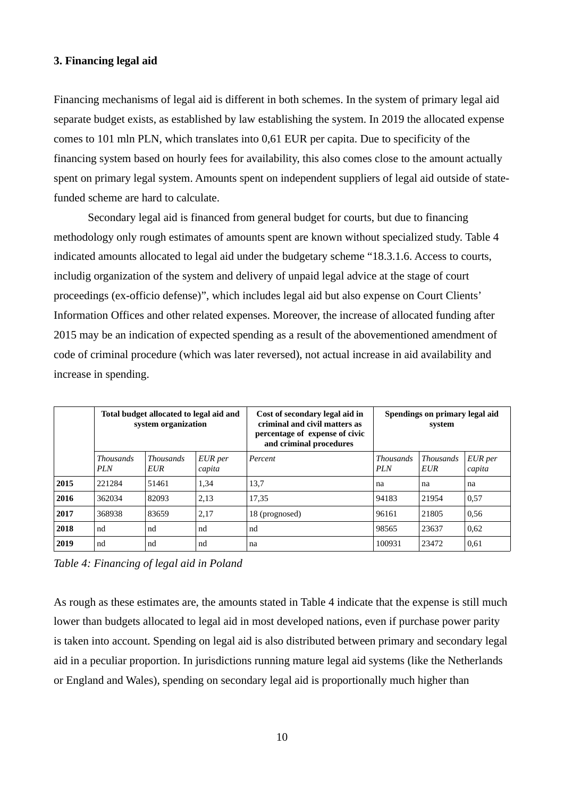# **3. Financing legal aid**

Financing mechanisms of legal aid is different in both schemes. In the system of primary legal aid separate budget exists, as established by law establishing the system. In 2019 the allocated expense comes to 101 mln PLN, which translates into 0,61 EUR per capita. Due to specificity of the financing system based on hourly fees for availability, this also comes close to the amount actually spent on primary legal system. Amounts spent on independent suppliers of legal aid outside of statefunded scheme are hard to calculate.

Secondary legal aid is financed from general budget for courts, but due to financing methodology only rough estimates of amounts spent are known without specialized study. Table 4 indicated amounts allocated to legal aid under the budgetary scheme "18.3.1.6. Access to courts, includig organization of the system and delivery of unpaid legal advice at the stage of court proceedings (ex-officio defense)", which includes legal aid but also expense on Court Clients' Information Offices and other related expenses. Moreover, the increase of allocated funding after 2015 may be an indication of expected spending as a result of the abovementioned amendment of code of criminal procedure (which was later reversed), not actual increase in aid availability and increase in spending.

|      | Total budget allocated to legal aid and<br>system organization |                         | Cost of secondary legal aid in<br>criminal and civil matters as<br>percentage of expense of civic<br>and criminal procedures | Spendings on primary legal aid<br>system |                         |                                |                   |
|------|----------------------------------------------------------------|-------------------------|------------------------------------------------------------------------------------------------------------------------------|------------------------------------------|-------------------------|--------------------------------|-------------------|
|      | <b>Thousands</b><br><b>PLN</b>                                 | <b>Thousands</b><br>EUR | EUR per<br>capita                                                                                                            | Percent                                  | Thousands<br><b>PLN</b> | <b>Thousands</b><br><b>EUR</b> | EUR per<br>capita |
| 2015 | 221284                                                         | 51461                   | 1,34                                                                                                                         | 13,7                                     | na                      | na                             | na                |
| 2016 | 362034                                                         | 82093                   | 2,13                                                                                                                         | 17,35                                    | 94183                   | 21954                          | 0,57              |
| 2017 | 368938                                                         | 83659                   | 2,17                                                                                                                         | 18 (prognosed)                           | 96161                   | 21805                          | 0,56              |
| 2018 | nd                                                             | nd                      | nd                                                                                                                           | nd                                       | 98565                   | 23637                          | 0,62              |
| 2019 | nd                                                             | nd                      | nd                                                                                                                           | na                                       | 100931                  | 23472                          | 0,61              |

*Table 4: Financing of legal aid in Poland*

As rough as these estimates are, the amounts stated in Table 4 indicate that the expense is still much lower than budgets allocated to legal aid in most developed nations, even if purchase power parity is taken into account. Spending on legal aid is also distributed between primary and secondary legal aid in a peculiar proportion. In jurisdictions running mature legal aid systems (like the Netherlands or England and Wales), spending on secondary legal aid is proportionally much higher than